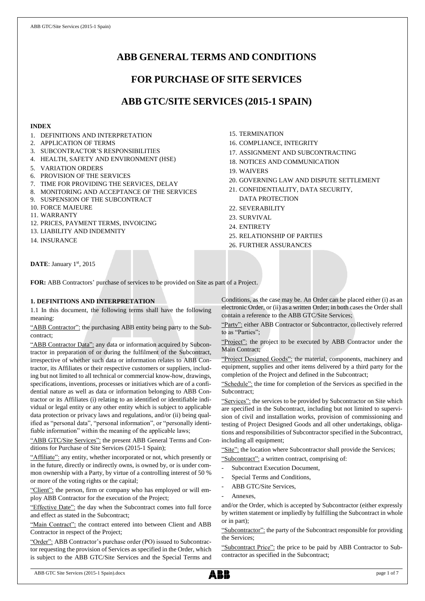# **ABB GENERAL TERMS AND CONDITIONS**

# **FOR PURCHASE OF SITE SERVICES**

# **ABB GTC/SITE SERVICES (2015-1 SPAIN)**

## **INDEX**

- 1. DEFINITIONS AND INTERPRETATION
- 2. APPLICATION OF TERMS
- 3. SUBCONTRACTOR'S RESPONSIBILITIES
- 4. HEALTH, SAFETY AND ENVIRONMENT (HSE)
- 5. VARIATION ORDERS
- 6. PROVISION OF THE SERVICES
- 7. TIME FOR PROVIDING THE SERVICES, DELAY
- 8. MONITORING AND ACCEPTANCE OF THE SERVICES
- 9. SUSPENSION OF THE SUBCONTRACT
- 10. FORCE MAJEURE
- 11. WARRANTY
- 12. PRICES, PAYMENT TERMS, INVOICING
- 13. LIABILITY AND INDEMNITY
- 14. INSURANCE
- 15. TERMINATION
- 16. COMPLIANCE, INTEGRITY
- 17. ASSIGNMENT AND SUBCONTRACTING
- 18. NOTICES AND COMMUNICATION
- 19. WAIVERS
- 20. GOVERNING LAW AND DISPUTE SETTLEMENT
- 21. CONFIDENTIALITY, DATA SECURITY, DATA PROTECTION
- 22. SEVERABILITY
- 23. SURVIVAL
- 24. ENTIRETY
- 25. RELATIONSHIP OF PARTIES
- 26. FURTHER ASSURANCES

DATE: January 1st, 2015

**FOR:** ABB Contractors' purchase of services to be provided on Site as part of a Project.

## **1. DEFINITIONS AND INTERPRETATION**

1.1 In this document, the following terms shall have the following meaning:

"ABB Contractor": the purchasing ABB entity being party to the Subcontract;

"ABB Contractor Data": any data or information acquired by Subcontractor in preparation of or during the fulfilment of the Subcontract, irrespective of whether such data or information relates to ABB Contractor, its Affiliates or their respective customers or suppliers, including but not limited to all technical or commercial know-how, drawings, specifications, inventions, processes or initiatives which are of a confidential nature as well as data or information belonging to ABB Contractor or its Affiliates (i) relating to an identified or identifiable individual or legal entity or any other entity which is subject to applicable data protection or privacy laws and regulations, and/or (ii) being qualified as "personal data", "personal information", or "personally identifiable information" within the meaning of the applicable laws;

"ABB GTC/Site Services": the present ABB General Terms and Conditions for Purchase of Site Services (2015-1 Spain);

"Affiliate": any entity, whether incorporated or not, which presently or in the future, directly or indirectly owns, is owned by, or is under common ownership with a Party, by virtue of a controlling interest of 50 % or more of the voting rights or the capital;

"Client": the person, firm or company who has employed or will employ ABB Contractor for the execution of the Project;

"Effective Date": the day when the Subcontract comes into full force and effect as stated in the Subcontract;

"Main Contract": the contract entered into between Client and ABB Contractor in respect of the Project;

"Order": ABB Contractor's purchase order (PO) issued to Subcontractor requesting the provision of Services as specified in the Order, which is subject to the ABB GTC/Site Services and the Special Terms and Conditions, as the case may be. An Order can be placed either (i) as an electronic Order, or (ii) as a written Order; in both cases the Order shall contain a reference to the ABB GTC/Site Services;

"Party": either ABB Contractor or Subcontractor, collectively referred to as "Parties";

"Project": the project to be executed by ABB Contractor under the Main Contract;

"Project Designed Goods": the material, components, machinery and equipment, supplies and other items delivered by a third party for the completion of the Project and defined in the Subcontract;

"Schedule": the time for completion of the Services as specified in the Subcontract;

"Services": the services to be provided by Subcontractor on Site which are specified in the Subcontract, including but not limited to supervision of civil and installation works, provision of commissioning and testing of Project Designed Goods and all other undertakings, obligations and responsibilities of Subcontractor specified in the Subcontract, including all equipment;

"Site": the location where Subcontractor shall provide the Services; "Subcontract": a written contract, comprising of:

- Subcontract Execution Document,
- Special Terms and Conditions,
- ABB GTC/Site Services,
- Annexes.

and/or the Order, which is accepted by Subcontractor (either expressly by written statement or impliedly by fulfilling the Subcontract in whole or in part);

"Subcontractor": the party of the Subcontract responsible for providing the Services;

"Subcontract Price": the price to be paid by ABB Contractor to Subcontractor as specified in the Subcontract;

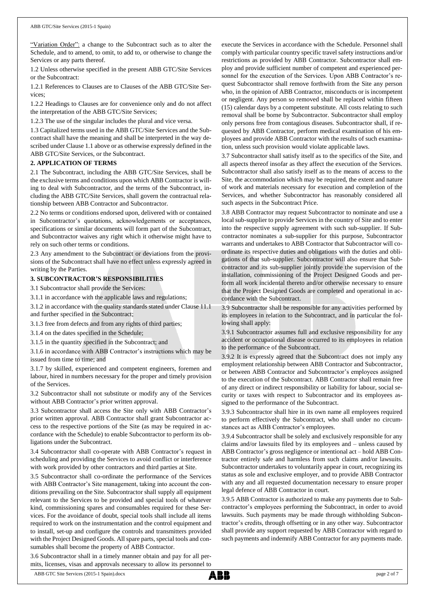"Variation Order": a change to the Subcontract such as to alter the Schedule, and to amend, to omit, to add to, or otherwise to change the Services or any parts thereof.

1.2 Unless otherwise specified in the present ABB GTC/Site Services or the Subcontract:

1.2.1 References to Clauses are to Clauses of the ABB GTC/Site Services;

1.2.2 Headings to Clauses are for convenience only and do not affect the interpretation of the ABB GTC/Site Services;

1.2.3 The use of the singular includes the plural and vice versa.

1.3 Capitalized terms used in the ABB GTC/Site Services and the Subcontract shall have the meaning and shall be interpreted in the way described under Clause 1.1 above or as otherwise expressly defined in the ABB GTC/Site Services, or the Subcontract.

## **2. APPLICATION OF TERMS**

2.1 The Subcontract, including the ABB GTC/Site Services, shall be the exclusive terms and conditions upon which ABB Contractor is willing to deal with Subcontractor, and the terms of the Subcontract, including the ABB GTC/Site Services, shall govern the contractual relationship between ABB Contractor and Subcontractor.

2.2 No terms or conditions endorsed upon, delivered with or contained in Subcontractor's quotations, acknowledgements or acceptances, specifications or similar documents will form part of the Subcontract, and Subcontractor waives any right which it otherwise might have to rely on such other terms or conditions.

2.3 Any amendment to the Subcontract or deviations from the provisions of the Subcontract shall have no effect unless expressly agreed in writing by the Parties.

## **3. SUBCONTRACTOR'S RESPONSIBILITIES**

3.1 Subcontractor shall provide the Services:

3.1.1 in accordance with the applicable laws and regulations;

3.1.2 in accordance with the quality standards stated under Clause 11.1 and further specified in the Subcontract;

3.1.3 free from defects and from any rights of third parties;

3.1.4 on the dates specified in the Schedule;

3.1.5 in the quantity specified in the Subcontract; and

3.1.6 in accordance with ABB Contractor's instructions which may be issued from time to time; and

3.1.7 by skilled, experienced and competent engineers, foremen and labour, hired in numbers necessary for the proper and timely provision of the Services.

3.2 Subcontractor shall not substitute or modify any of the Services without ABB Contractor's prior written approval.

3.3 Subcontractor shall access the Site only with ABB Contractor's prior written approval. ABB Contractor shall grant Subcontractor access to the respective portions of the Site (as may be required in accordance with the Schedule) to enable Subcontractor to perform its obligations under the Subcontract.

3.4 Subcontractor shall co-operate with ABB Contractor's request in scheduling and providing the Services to avoid conflict or interference with work provided by other contractors and third parties at Site.

3.5 Subcontractor shall co-ordinate the performance of the Services with ABB Contractor's Site management, taking into account the conditions prevailing on the Site. Subcontractor shall supply all equipment relevant to the Services to be provided and special tools of whatever kind, commissioning spares and consumables required for these Services. For the avoidance of doubt, special tools shall include all items required to work on the instrumentation and the control equipment and to install, set-up and configure the controls and transmitters provided with the Project Designed Goods. All spare parts, special tools and consumables shall become the property of ABB Contractor.

3.6 Subcontractor shall in a timely manner obtain and pay for all permits, licenses, visas and approvals necessary to allow its personnel to execute the Services in accordance with the Schedule. Personnel shall comply with particular country specific travel safety instructions and/or restrictions as provided by ABB Contractor. Subcontractor shall employ and provide sufficient number of competent and experienced personnel for the execution of the Services. Upon ABB Contractor's request Subcontractor shall remove forthwith from the Site any person who, in the opinion of ABB Contractor, misconducts or is incompetent or negligent. Any person so removed shall be replaced within fifteen (15) calendar days by a competent substitute. All costs relating to such removal shall be borne by Subcontractor. Subcontractor shall employ only persons free from contagious diseases. Subcontractor shall, if requested by ABB Contractor, perform medical examination of his employees and provide ABB Contractor with the results of such examination, unless such provision would violate applicable laws.

3.7 Subcontractor shall satisfy itself as to the specifics of the Site, and all aspects thereof insofar as they affect the execution of the Services. Subcontractor shall also satisfy itself as to the means of access to the Site, the accommodation which may be required, the extent and nature of work and materials necessary for execution and completion of the Services, and whether Subcontractor has reasonably considered all such aspects in the Subcontract Price.

3.8 ABB Contractor may request Subcontractor to nominate and use a local sub-supplier to provide Services in the country of Site and to enter into the respective supply agreement with such sub-supplier. If Subcontractor nominates a sub-supplier for this purpose, Subcontractor warrants and undertakes to ABB Contractor that Subcontractor will coordinate its respective duties and obligations with the duties and obligations of that sub-supplier. Subcontractor will also ensure that Subcontractor and its sub-supplier jointly provide the supervision of the installation, commissioning of the Project Designed Goods and perform all work incidental thereto and/or otherwise necessary to ensure that the Project Designed Goods are completed and operational in accordance with the Subcontract.

3.9 Subcontractor shall be responsible for any activities performed by its employees in relation to the Subcontract, and in particular the following shall apply:

3.9.1 Subcontractor assumes full and exclusive responsibility for any accident or occupational disease occurred to its employees in relation to the performance of the Subcontract.

3.9.2 It is expressly agreed that the Subcontract does not imply any employment relationship between ABB Contractor and Subcontractor, or between ABB Contractor and Subcontractor's employees assigned to the execution of the Subcontract. ABB Contractor shall remain free of any direct or indirect responsibility or liability for labour, social security or taxes with respect to Subcontractor and its employees assigned to the performance of the Subcontract.

3.9.3 Subcontractor shall hire in its own name all employees required to perform effectively the Subcontract, who shall under no circumstances act as ABB Contractor's employees.

3.9.4 Subcontractor shall be solely and exclusively responsible for any claims and/or lawsuits filed by its employees and – unless caused by ABB Contractor's gross negligence or intentional act – hold ABB Contractor entirely safe and harmless from such claims and/or lawsuits. Subcontractor undertakes to voluntarily appear in court, recognizing its status as sole and exclusive employer, and to provide ABB Contractor with any and all requested documentation necessary to ensure proper legal defence of ABB Contractor in court.

3.9.5 ABB Contractor is authorized to make any payments due to Subcontractor's employees performing the Subcontract, in order to avoid lawsuits. Such payments may be made through withholding Subcontractor's credits, through offsetting or in any other way. Subcontractor shall provide any support requested by ABB Contractor with regard to such payments and indemnify ABB Contractor for any payments made.

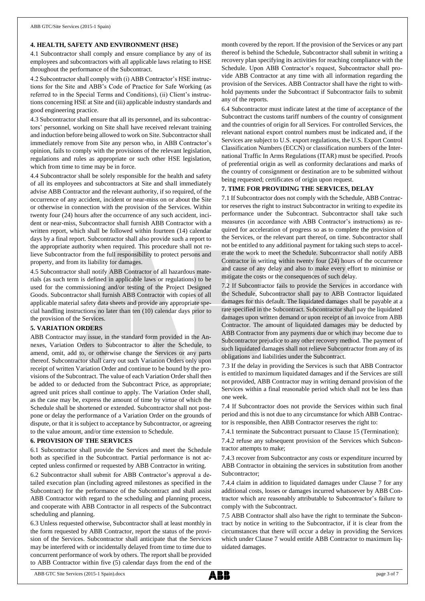## **4. HEALTH, SAFETY AND ENVIRONMENT (HSE)**

4.1 Subcontractor shall comply and ensure compliance by any of its employees and subcontractors with all applicable laws relating to HSE throughout the performance of the Subcontract.

4.2 Subcontractor shall comply with (i) ABB Contractor's HSE instructions for the Site and ABB's Code of Practice for Safe Working (as referred to in the Special Terms and Conditions), (ii) Client's instructions concerning HSE at Site and (iii) applicable industry standards and good engineering practice.

4.3 Subcontractor shall ensure that all its personnel, and its subcontractors' personnel, working on Site shall have received relevant training and induction before being allowed to work on Site. Subcontractor shall immediately remove from Site any person who, in ABB Contractor's opinion, fails to comply with the provisions of the relevant legislation, regulations and rules as appropriate or such other HSE legislation, which from time to time may be in force.

4.4 Subcontractor shall be solely responsible for the health and safety of all its employees and subcontractors at Site and shall immediately advise ABB Contractor and the relevant authority, if so required, of the occurrence of any accident, incident or near-miss on or about the Site or otherwise in connection with the provision of the Services. Within twenty four (24) hours after the occurrence of any such accident, incident or near-miss, Subcontractor shall furnish ABB Contractor with a written report, which shall be followed within fourteen (14) calendar days by a final report. Subcontractor shall also provide such a report to the appropriate authority when required. This procedure shall not relieve Subcontractor from the full responsibility to protect persons and property, and from its liability for damages.

4.5 Subcontractor shall notify ABB Contractor of all hazardous materials (as such term is defined in applicable laws or regulations) to be used for the commissioning and/or testing of the Project Designed Goods. Subcontractor shall furnish ABB Contractor with copies of all applicable material safety data sheets and provide any appropriate special handling instructions no later than ten (10) calendar days prior to the provision of the Services.

## **5. VARIATION ORDERS**

ABB Contractor may issue, in the standard form provided in the Annexes, Variation Orders to Subcontractor to alter the Schedule, to amend, omit, add to, or otherwise change the Services or any parts thereof. Subcontractor shall carry out such Variation Orders only upon receipt of written Variation Order and continue to be bound by the provisions of the Subcontract. The value of each Variation Order shall then be added to or deducted from the Subcontract Price, as appropriate; agreed unit prices shall continue to apply. The Variation Order shall, as the case may be, express the amount of time by virtue of which the Schedule shall be shortened or extended. Subcontractor shall not postpone or delay the performance of a Variation Order on the grounds of dispute, or that it is subject to acceptance by Subcontractor, or agreeing to the value amount, and/or time extension to Schedule.

#### **6. PROVISION OF THE SERVICES**

6.1 Subcontractor shall provide the Services and meet the Schedule both as specified in the Subcontract. Partial performance is not accepted unless confirmed or requested by ABB Contractor in writing.

6.2 Subcontractor shall submit for ABB Contractor's approval a detailed execution plan (including agreed milestones as specified in the Subcontract) for the performance of the Subcontract and shall assist ABB Contractor with regard to the scheduling and planning process, and cooperate with ABB Contractor in all respects of the Subcontract scheduling and planning.

6.3 Unless requested otherwise, Subcontractor shall at least monthly in the form requested by ABB Contractor, report the status of the provision of the Services. Subcontractor shall anticipate that the Services may be interfered with or incidentally delayed from time to time due to concurrent performance of work by others. The report shall be provided to ABB Contractor within five (5) calendar days from the end of the month covered by the report. If the provision of the Services or any part thereof is behind the Schedule, Subcontractor shall submit in writing a recovery plan specifying its activities for reaching compliance with the Schedule. Upon ABB Contractor's request, Subcontractor shall provide ABB Contractor at any time with all information regarding the provision of the Services. ABB Contractor shall have the right to withhold payments under the Subcontract if Subcontractor fails to submit any of the reports.

6.4 Subcontractor must indicate latest at the time of acceptance of the Subcontract the customs tariff numbers of the country of consignment and the countries of origin for all Services. For controlled Services, the relevant national export control numbers must be indicated and, if the Services are subject to U.S. export regulations, the U.S. Export Control Classification Numbers (ECCN) or classification numbers of the International Traffic In Arms Regulations (ITAR) must be specified. Proofs of preferential origin as well as conformity declarations and marks of the country of consignment or destination are to be submitted without being requested; certificates of origin upon request.

#### **7. TIME FOR PROVIDING THE SERVICES, DELAY**

7.1 If Subcontractor does not comply with the Schedule, ABB Contractor reserves the right to instruct Subcontractor in writing to expedite its performance under the Subcontract. Subcontractor shall take such measures (in accordance with ABB Contractor's instructions) as required for acceleration of progress so as to complete the provision of the Services, or the relevant part thereof, on time. Subcontractor shall not be entitled to any additional payment for taking such steps to accelerate the work to meet the Schedule. Subcontractor shall notify ABB Contractor in writing within twenty four (24) hours of the occurrence and cause of any delay and also to make every effort to minimise or mitigate the costs or the consequences of such delay.

7.2 If Subcontractor fails to provide the Services in accordance with the Schedule, Subcontractor shall pay to ABB Contractor liquidated damages for this default. The liquidated damages shall be payable at a rate specified in the Subcontract. Subcontractor shall pay the liquidated damages upon written demand or upon receipt of an invoice from ABB Contractor. The amount of liquidated damages may be deducted by ABB Contractor from any payments due or which may become due to Subcontractor prejudice to any other recovery method. The payment of such liquidated damages shall not relieve Subcontractor from any of its obligations and liabilities under the Subcontract.

7.3 If the delay in providing the Services is such that ABB Contractor is entitled to maximum liquidated damages and if the Services are still not provided, ABB Contractor may in writing demand provision of the Services within a final reasonable period which shall not be less than one week.

7.4 If Subcontractor does not provide the Services within such final period and this is not due to any circumstance for which ABB Contractor is responsible, then ABB Contractor reserves the right to:

7.4.1 terminate the Subcontract pursuant to Clause 15 (Termination);

7.4.2 refuse any subsequent provision of the Services which Subcontractor attempts to make;

7.4.3 recover from Subcontractor any costs or expenditure incurred by ABB Contractor in obtaining the services in substitution from another Subcontractor;

7.4.4 claim in addition to liquidated damages under Clause 7 for any additional costs, losses or damages incurred whatsoever by ABB Contractor which are reasonably attributable to Subcontractor's failure to comply with the Subcontract.

7.5 ABB Contractor shall also have the right to terminate the Subcontract by notice in writing to the Subcontractor, if it is clear from the circumstances that there will occur a delay in providing the Services which under Clause 7 would entitle ABB Contractor to maximum liquidated damages.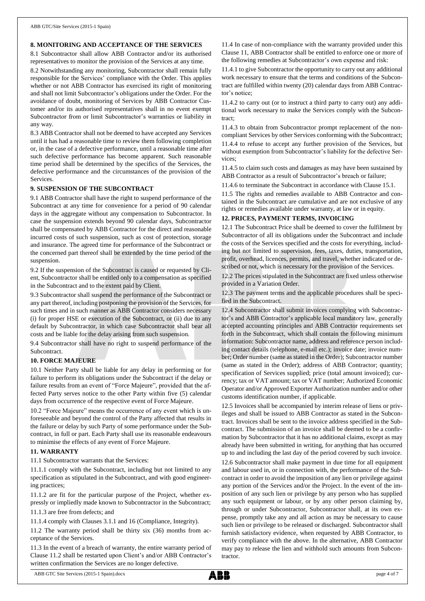## **8. MONITORING AND ACCEPTANCE OF THE SERVICES**

8.1 Subcontractor shall allow ABB Contractor and/or its authorised representatives to monitor the provision of the Services at any time.

8.2 Notwithstanding any monitoring, Subcontractor shall remain fully responsible for the Services' compliance with the Order. This applies whether or not ABB Contractor has exercised its right of monitoring and shall not limit Subcontractor's obligations under the Order. For the avoidance of doubt, monitoring of Services by ABB Contractor Customer and/or its authorised representatives shall in no event exempt Subcontractor from or limit Subcontractor's warranties or liability in any way.

8.3 ABB Contractor shall not be deemed to have accepted any Services until it has had a reasonable time to review them following completion or, in the case of a defective performance, until a reasonable time after such defective performance has become apparent. Such reasonable time period shall be determined by the specifics of the Services, the defective performance and the circumstances of the provision of the Services.

#### **9. SUSPENSION OF THE SUBCONTRACT**

9.1 ABB Contractor shall have the right to suspend performance of the Subcontract at any time for convenience for a period of 90 calendar days in the aggregate without any compensation to Subcontractor. In case the suspension extends beyond 90 calendar days, Subcontractor shall be compensated by ABB Contractor for the direct and reasonable incurred costs of such suspension, such as cost of protection, storage and insurance. The agreed time for performance of the Subcontract or the concerned part thereof shall be extended by the time period of the suspension.

9.2 If the suspension of the Subcontract is caused or requested by Client, Subcontractor shall be entitled only to a compensation as specified in the Subcontract and to the extent paid by Client.

9.3 Subcontractor shall suspend the performance of the Subcontract or any part thereof, including postponing the provision of the Services, for such times and in such manner as ABB Contractor considers necessary (i) for proper HSE or execution of the Subcontract, or (ii) due to any default by Subcontractor, in which case Subcontractor shall bear all costs and be liable for the delay arising from such suspension.

9.4 Subcontractor shall have no right to suspend performance of the **Subcontract.** 

## **10. FORCE MAJEURE**

10.1 Neither Party shall be liable for any delay in performing or for failure to perform its obligations under the Subcontract if the delay or failure results from an event of "Force Majeure", provided that the affected Party serves notice to the other Party within five (5) calendar days from occurrence of the respective event of Force Majeure.

10.2 "Force Majeure" means the occurrence of any event which is unforeseeable and beyond the control of the Party affected that results in the failure or delay by such Party of some performance under the Subcontract, in full or part. Each Party shall use its reasonable endeavours to minimise the effects of any event of Force Majeure.

## **11. WARRANTY**

11.1 Subcontractor warrants that the Services:

11.1.1 comply with the Subcontract, including but not limited to any specification as stipulated in the Subcontract, and with good engineering practices;

11.1.2 are fit for the particular purpose of the Project, whether expressly or impliedly made known to Subcontractor in the Subcontract;

11.1.3 are free from defects; and

11.1.4 comply with Clauses 3.1.1 and 16 (Compliance, Integrity).

11.2 The warranty period shall be thirty six (36) months from acceptance of the Services.

11.3 In the event of a breach of warranty, the entire warranty period of Clause 11.2 shall be restarted upon Client's and/or ABB Contractor's written confirmation the Services are no longer defective.

11.4 In case of non-compliance with the warranty provided under this Clause 11, ABB Contractor shall be entitled to enforce one or more of the following remedies at Subcontractor's own expense and risk:

11.4.1 to give Subcontractor the opportunity to carry out any additional work necessary to ensure that the terms and conditions of the Subcontract are fulfilled within twenty (20) calendar days from ABB Contractor's notice;

11.4.2 to carry out (or to instruct a third party to carry out) any additional work necessary to make the Services comply with the Subcontract;

11.4.3 to obtain from Subcontractor prompt replacement of the noncompliant Services by other Services conforming with the Subcontract; 11.4.4 to refuse to accept any further provision of the Services, but without exemption from Subcontractor's liability for the defective Services;

11.4.5 to claim such costs and damages as may have been sustained by ABB Contractor as a result of Subcontractor's breach or failure;

11.4.6 to terminate the Subcontract in accordance with Clause 15.1.

11.5 The rights and remedies available to ABB Contractor and contained in the Subcontract are cumulative and are not exclusive of any rights or remedies available under warranty, at law or in equity.

## **12. PRICES, PAYMENT TERMS, INVOICING**

12.1 The Subcontract Price shall be deemed to cover the fulfilment by Subcontractor of all its obligations under the Subcontract and include the costs of the Services specified and the costs for everything, including but not limited to supervision, fees, taxes, duties, transportation, profit, overhead, licences, permits, and travel, whether indicated or described or not, which is necessary for the provision of the Services.

12.2 The prices stipulated in the Subcontract are fixed unless otherwise provided in a Variation Order.

12.3 The payment terms and the applicable procedures shall be specified in the Subcontract.

12.4 Subcontractor shall submit invoices complying with Subcontractor's and ABB Contractor's applicable local mandatory law, generally accepted accounting principles and ABB Contractor requirements set forth in the Subcontract, which shall contain the following minimum information: Subcontractor name, address and reference person including contact details (telephone, e-mail etc.); invoice date; invoice number; Order number (same as stated in the Order); Subcontractor number (same as stated in the Order); address of ABB Contractor; quantity; specification of Services supplied; price (total amount invoiced); currency; tax or VAT amount; tax or VAT number; Authorized Economic Operator and/or Approved Exporter Authorization number and/or other customs identification number, if applicable.

12.5 Invoices shall be accompanied by interim release of liens or privileges and shall be issued to ABB Contractor as stated in the Subcontract. Invoices shall be sent to the invoice address specified in the Subcontract. The submission of an invoice shall be deemed to be a confirmation by Subcontractor that it has no additional claims, except as may already have been submitted in writing, for anything that has occurred up to and including the last day of the period covered by such invoice.

12.6 Subcontractor shall make payment in due time for all equipment and labour used in, or in connection with, the performance of the Subcontract in order to avoid the imposition of any lien or privilege against any portion of the Services and/or the Project. In the event of the imposition of any such lien or privilege by any person who has supplied any such equipment or labour, or by any other person claiming by, through or under Subcontractor, Subcontractor shall, at its own expense, promptly take any and all action as may be necessary to cause such lien or privilege to be released or discharged. Subcontractor shall furnish satisfactory evidence, when requested by ABB Contractor, to verify compliance with the above. In the alternative, ABB Contractor may pay to release the lien and withhold such amounts from Subcontractor.

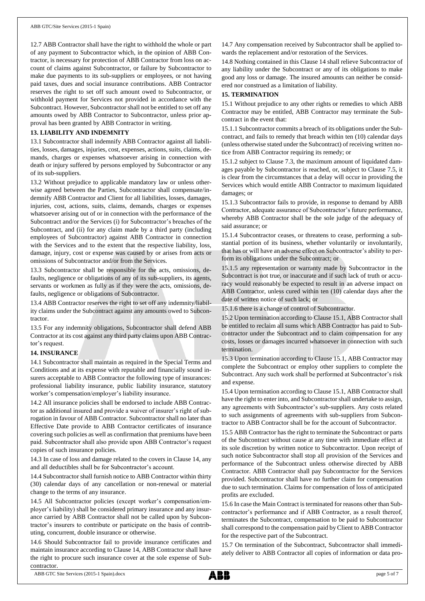12.7 ABB Contractor shall have the right to withhold the whole or part of any payment to Subcontractor which, in the opinion of ABB Contractor, is necessary for protection of ABB Contractor from loss on account of claims against Subcontractor, or failure by Subcontractor to make due payments to its sub-suppliers or employees, or not having paid taxes, dues and social insurance contributions. ABB Contractor reserves the right to set off such amount owed to Subcontractor, or withhold payment for Services not provided in accordance with the Subcontract. However, Subcontractor shall not be entitled to set off any amounts owed by ABB Contractor to Subcontractor, unless prior approval has been granted by ABB Contractor in writing.

## **13. LIABILITY AND INDEMNITY**

13.1 Subcontractor shall indemnify ABB Contractor against all liabilities, losses, damages, injuries, cost, expenses, actions, suits, claims, demands, charges or expenses whatsoever arising in connection with death or injury suffered by persons employed by Subcontractor or any of its sub-suppliers.

13.2 Without prejudice to applicable mandatory law or unless otherwise agreed between the Parties, Subcontractor shall compensate/indemnify ABB Contractor and Client for all liabilities, losses, damages, injuries, cost, actions, suits, claims, demands, charges or expenses whatsoever arising out of or in connection with the performance of the Subcontract and/or the Services (i) for Subcontractor's breaches of the Subcontract, and (ii) for any claim made by a third party (including employees of Subcontractor) against ABB Contractor in connection with the Services and to the extent that the respective liability, loss, damage, injury, cost or expense was caused by or arises from acts or omissions of Subcontractor and/or from the Services.

13.3 Subcontractor shall be responsible for the acts, omissions, defaults, negligence or obligations of any of its sub-suppliers, its agents, servants or workmen as fully as if they were the acts, omissions, defaults, negligence or obligations of Subcontractor.

13.4 ABB Contractor reserves the right to set off any indemnity/liability claims under the Subcontract against any amounts owed to Subcontractor.

13.5 For any indemnity obligations, Subcontractor shall defend ABB Contractor at its cost against any third party claims upon ABB Contractor's request.

#### **14. INSURANCE**

14.1 Subcontractor shall maintain as required in the Special Terms and Conditions and at its expense with reputable and financially sound insurers acceptable to ABB Contractor the following type of insurances: professional liability insurance, public liability insurance, statutory worker's compensation/employer's liability insurance.

14.2 All insurance policies shall be endorsed to include ABB Contractor as additional insured and provide a waiver of insurer's right of subrogation in favour of ABB Contractor. Subcontractor shall no later than Effective Date provide to ABB Contractor certificates of insurance covering such policies as well as confirmation that premiums have been paid. Subcontractor shall also provide upon ABB Contractor's request copies of such insurance policies.

14.3 In case of loss and damage related to the covers in Clause 14, any and all deductibles shall be for Subcontractor's account.

14.4 Subcontractor shall furnish notice to ABB Contractor within thirty (30) calendar days of any cancellation or non-renewal or material change to the terms of any insurance.

14.5 All Subcontractor policies (except worker's compensation/employer's liability) shall be considered primary insurance and any insurance carried by ABB Contractor shall not be called upon by Subcontractor's insurers to contribute or participate on the basis of contributing, concurrent, double insurance or otherwise.

14.6 Should Subcontractor fail to provide insurance certificates and maintain insurance according to Clause 14, ABB Contractor shall have the right to procure such insurance cover at the sole expense of Subcontractor.

14.7 Any compensation received by Subcontractor shall be applied towards the replacement and/or restoration of the Services.

14.8 Nothing contained in this Clause 14 shall relieve Subcontractor of any liability under the Subcontract or any of its obligations to make good any loss or damage. The insured amounts can neither be considered nor construed as a limitation of liability.

### **15. TERMINATION**

15.1 Without prejudice to any other rights or remedies to which ABB Contractor may be entitled, ABB Contractor may terminate the Subcontract in the event that:

15.1.1 Subcontractor commits a breach of its obligations under the Subcontract, and fails to remedy that breach within ten (10) calendar days (unless otherwise stated under the Subcontract) of receiving written notice from ABB Contractor requiring its remedy; or

15.1.2 subject to Clause 7.3, the maximum amount of liquidated damages payable by Subcontractor is reached, or, subject to Clause 7.5, it is clear from the circumstances that a delay will occur in providing the Services which would entitle ABB Contractor to maximum liquidated damages; or

15.1.3 Subcontractor fails to provide, in response to demand by ABB Contractor, adequate assurance of Subcontractor's future performance, whereby ABB Contractor shall be the sole judge of the adequacy of said assurance; or

15.1.4 Subcontractor ceases, or threatens to cease, performing a substantial portion of its business, whether voluntarily or involuntarily, that has or will have an adverse effect on Subcontractor's ability to perform its obligations under the Subcontract; or

15.1.5 any representation or warranty made by Subcontractor in the Subcontract is not true, or inaccurate and if such lack of truth or accuracy would reasonably be expected to result in an adverse impact on ABB Contractor, unless cured within ten (10) calendar days after the date of written notice of such lack; or

15.1.6 there is a change of control of Subcontractor.

15.2 Upon termination according to Clause 15.1, ABB Contractor shall be entitled to reclaim all sums which ABB Contractor has paid to Subcontractor under the Subcontract and to claim compensation for any costs, losses or damages incurred whatsoever in connection with such termination.

15.3 Upon termination according to Clause 15.1, ABB Contractor may complete the Subcontract or employ other suppliers to complete the Subcontract. Any such work shall be performed at Subcontractor's risk and expense.

15.4 Upon termination according to Clause 15.1, ABB Contractor shall have the right to enter into, and Subcontractor shall undertake to assign, any agreements with Subcontractor's sub-suppliers. Any costs related to such assignments of agreements with sub-suppliers from Subcontractor to ABB Contractor shall be for the account of Subcontractor.

15.5 ABB Contractor has the right to terminate the Subcontract or parts of the Subcontract without cause at any time with immediate effect at its sole discretion by written notice to Subcontractor. Upon receipt of such notice Subcontractor shall stop all provision of the Services and performance of the Subcontract unless otherwise directed by ABB Contractor. ABB Contractor shall pay Subcontractor for the Services provided. Subcontractor shall have no further claim for compensation due to such termination. Claims for compensation of loss of anticipated profits are excluded.

15.6 In case the Main Contract is terminated for reasons other than Subcontractor's performance and if ABB Contractor, as a result thereof, terminates the Subcontract, compensation to be paid to Subcontractor shall correspond to the compensation paid by Client to ABB Contractor for the respective part of the Subcontract.

15.7 On termination of the Subcontract, Subcontractor shall immediately deliver to ABB Contractor all copies of information or data pro-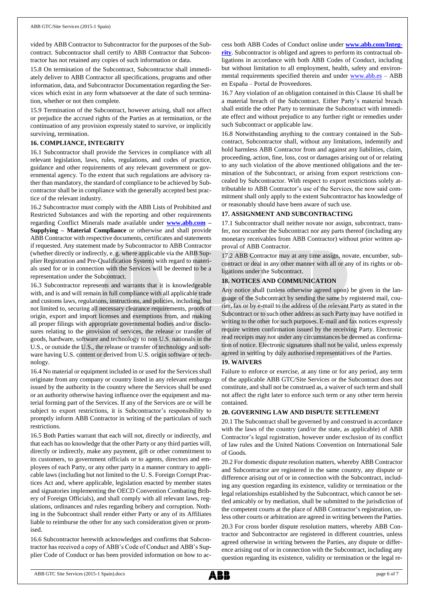vided by ABB Contractor to Subcontractor for the purposes of the Subcontract. Subcontractor shall certify to ABB Contractor that Subcontractor has not retained any copies of such information or data.

15.8 On termination of the Subcontract, Subcontractor shall immediately deliver to ABB Contractor all specifications, programs and other information, data, and Subcontractor Documentation regarding the Services which exist in any form whatsoever at the date of such termination, whether or not then complete.

15.9 Termination of the Subcontract, however arising, shall not affect or prejudice the accrued rights of the Parties as at termination, or the continuation of any provision expressly stated to survive, or implicitly surviving, termination.

## **16. COMPLIANCE, INTEGRITY**

16.1 Subcontractor shall provide the Services in compliance with all relevant legislation, laws, rules, regulations, and codes of practice, guidance and other requirements of any relevant government or governmental agency. To the extent that such regulations are advisory rather than mandatory, the standard of compliance to be achieved by Subcontractor shall be in compliance with the generally accepted best practice of the relevant industry.

16.2 Subcontractor must comply with the ABB Lists of Prohibited and Restricted Substances and with the reporting and other requirements regarding Conflict Minerals made available under **[www.abb.com](http://www.abb.com/) – Supplying – Material Compliance** or otherwise and shall provide ABB Contractor with respective documents, certificates and statements if requested. Any statement made by Subcontractor to ABB Contractor (whether directly or indirectly, e. g. where applicable via the ABB Supplier Registration and Pre-Qualification System) with regard to materials used for or in connection with the Services will be deemed to be a representation under the Subcontract.

16.3 Subcontractor represents and warrants that it is knowledgeable with, and is and will remain in full compliance with all applicable trade and customs laws, regulations, instructions, and policies, including, but not limited to, securing all necessary clearance requirements, proofs of origin, export and import licenses and exemptions from, and making all proper filings with appropriate governmental bodies and/or disclosures relating to the provision of services, the release or transfer of goods, hardware, software and technology to non U.S. nationals in the U.S., or outside the U.S., the release or transfer of technology and software having U.S. content or derived from U.S. origin software or technology.

16.4 No material or equipment included in or used for the Services shall originate from any company or country listed in any relevant embargo issued by the authority in the country where the Services shall be used or an authority otherwise having influence over the equipment and material forming part of the Services. If any of the Services are or will be subject to export restrictions, it is Subcontractor's responsibility to promptly inform ABB Contractor in writing of the particulars of such restrictions.

16.5 Both Parties warrant that each will not, directly or indirectly, and that each has no knowledge that the other Party or any third parties will, directly or indirectly, make any payment, gift or other commitment to its customers, to government officials or to agents, directors and employees of each Party, or any other party in a manner contrary to applicable laws (including but not limited to the U. S. Foreign Corrupt Practices Act and, where applicable, legislation enacted by member states and signatories implementing the OECD Convention Combating Bribery of Foreign Officials), and shall comply with all relevant laws, regulations, ordinances and rules regarding bribery and corruption. Nothing in the Subcontract shall render either Party or any of its Affiliates liable to reimburse the other for any such consideration given or promised.

16.6 Subcontractor herewith acknowledges and confirms that Subcontractor has received a copy of ABB's Code of Conduct and ABB's Supplier Code of Conduct or has been provided information on how to access both ABB Codes of Conduct online under **[www.abb.com/Integ](http://www.abb.com/Integrity)[rity](http://www.abb.com/Integrity)**. Subcontractor is obliged and agrees to perform its contractual obligations in accordance with both ABB Codes of Conduct, including but without limitation to all employment, health, safety and environmental requirements specified therein and under [www.abb.es](http://www.abb.es/) – ABB en España – Portal de Proveedores.

16.7 Any violation of an obligation contained in this Clause 16 shall be a material breach of the Subcontract. Either Party's material breach shall entitle the other Party to terminate the Subcontract with immediate effect and without prejudice to any further right or remedies under such Subcontract or applicable law.

16.8 Notwithstanding anything to the contrary contained in the Subcontract, Subcontractor shall, without any limitations, indemnify and hold harmless ABB Contractor from and against any liabilities, claim, proceeding, action, fine, loss, cost or damages arising out of or relating to any such violation of the above mentioned obligations and the termination of the Subcontract, or arising from export restrictions concealed by Subcontractor. With respect to export restrictions solely attributable to ABB Contractor's use of the Services, the now said commitment shall only apply to the extent Subcontractor has knowledge of or reasonably should have been aware of such use.

## **17. ASSIGNMENT AND SUBCONTRACTING**

17.1 Subcontractor shall neither novate nor assign, subcontract, transfer, nor encumber the Subcontract nor any parts thereof (including any monetary receivables from ABB Contractor) without prior written approval of ABB Contractor.

17.2 ABB Contractor may at any time assign, novate, encumber, subcontract or deal in any other manner with all or any of its rights or obligations under the Subcontract.

## **18. NOTICES AND COMMUNICATION**

Any notice shall (unless otherwise agreed upon) be given in the language of the Subcontract by sending the same by registered mail, courier, fax or by e-mail to the address of the relevant Party as stated in the Subcontract or to such other address as such Party may have notified in writing to the other for such purposes. E-mail and fax notices expressly require written confirmation issued by the receiving Party. Electronic read receipts may not under any circumstances be deemed as confirmation of notice. Electronic signatures shall not be valid, unless expressly agreed in writing by duly authorised representatives of the Parties.

## **19. WAIVERS**

Failure to enforce or exercise, at any time or for any period, any term of the applicable ABB GTC/Site Services or the Subcontract does not constitute, and shall not be construed as, a waiver of such term and shall not affect the right later to enforce such term or any other term herein contained.

## **20. GOVERNING LAW AND DISPUTE SETTLEMENT**

20.1 The Subcontract shall be governed by and construed in accordance with the laws of the country (and/or the state, as applicable) of ABB Contractor's legal registration, however under exclusion of its conflict of law rules and the United Nations Convention on International Sale of Goods.

20.2 For domestic dispute resolution matters, whereby ABB Contractor and Subcontractor are registered in the same country, any dispute or difference arising out of or in connection with the Subcontract, including any question regarding its existence, validity or termination or the legal relationships established by the Subcontract, which cannot be settled amicably or by mediation, shall be submitted to the jurisdiction of the competent courts at the place of ABB Contractor's registration, unless other courts or arbitration are agreed in writing between the Parties.

20.3 For cross border dispute resolution matters, whereby ABB Contractor and Subcontractor are registered in different countries, unless agreed otherwise in writing between the Parties, any dispute or difference arising out of or in connection with the Subcontract, including any question regarding its existence, validity or termination or the legal re-